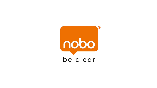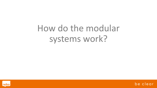# How do the modular systems work?



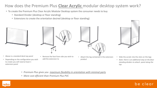## How does the Premium Plus **Clear Acrylic** modular desktop system work?

- To create the Premium Plus Clear Acrylic Modular Desktop system the consumer needs to buy
	- Standard Divider (desktop or floor standing)
	- Extensions to create the orientation desired (desktop or floor standing)







- Depending on the configuration you wish to create you will need at least 1 extension panel
- Above is a standard desk top panel Remove the foot from side you wish to add the extension to
- Attach the leg contained in the extension product



- Slide the acrylic into the slots on the legs
- *Note: there is an additional step on the floor standing dividers to attach panel along the top*

- *Premium Plus gives you maximum flexibility in orientation with minimal parts*
- *More cost efficient than Premium Plus PVC*



#### be clear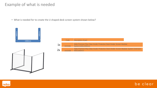• What is needed for to create the U shaped desk screen system shown below?





|    | Code    | <b>Description of part</b>                                                                            |
|----|---------|-------------------------------------------------------------------------------------------------------|
| 1x | 1915490 | Nobo Premium Plus Clear Acrylic Protective Desk Divider Screen Modular<br>System1400x1000mm           |
| 2x | 1915498 | Nobo Premium Plus Clear Acrylic Protective Desk Divider Screen Modular System Extension<br>600x1000mm |



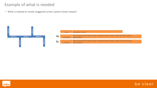• What is needed to create staggered screen system shown below?



|    | Code    | Description of part                                                                         |
|----|---------|---------------------------------------------------------------------------------------------|
| 4x | 1915493 | Nobo Premium Plus Clear Acrylic Protective Desk Divider Screen Modular System<br>600x1000mm |
| 3x | 1915492 | Nobo Premium Plus Clear Acrylic Protective Desk Divider Screen Modular System<br>800x1000mm |



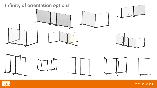

be clear

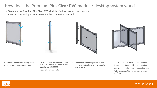### How does the Premium Plus **Clear PVC** modular desktop system work?

• To create the Premium Plus Clear PVC Modular Desktop system the consumer needs to buy multiple items to create the orientations desired



- Above is a modular desk top panel
- Note the 2 nodules either side
- Depending on the configuration you wish to create you will need at least 1 modular leg (1915557)
- Note holes on each side
- The nodules from the panel slot into the holes on the leg and downward to hold in place
- Connect up to 4 screens to 1 leg centrally
- An additional 4 external legs also required
- Legs are required on outside edge of screen
- *Note: there are NO floor standing modular products*

be clear

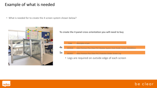• What is needed for to create the 4 screen system shown below?



**To create the 4 panel cross orientation you will need to buy**



• Legs are required on outside edge of each screen



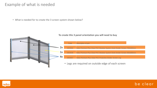• What is needed for to create the 3 screen system shown below?



#### **To create this 3 panel orientation you will need to buy**



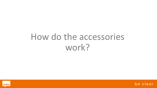# How do the accessories work?



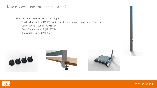#### How do you use the accessories?

- There are **4 accessories** within the range
	- Single Modular Leg (15557) which has been explained on previous 3 slides
	- Castor wheels, set of 4 (1915554)
	- Desk Clamps, set of 2 (1915555)
	- Tile weight, single (1915556)